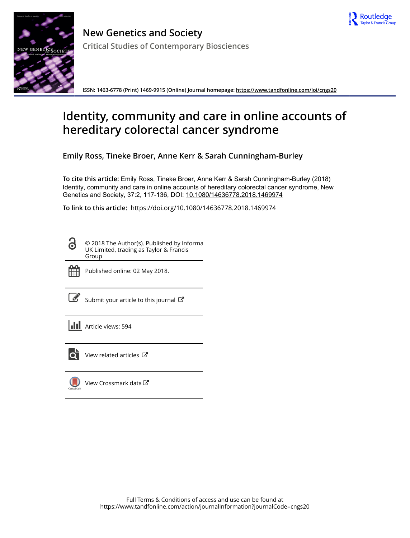



**New Genetics and Society Critical Studies of Contemporary Biosciences**

**ISSN: 1463-6778 (Print) 1469-9915 (Online) Journal homepage:<https://www.tandfonline.com/loi/cngs20>**

# **Identity, community and care in online accounts of hereditary colorectal cancer syndrome**

**Emily Ross, Tineke Broer, Anne Kerr & Sarah Cunningham-Burley**

**To cite this article:** Emily Ross, Tineke Broer, Anne Kerr & Sarah Cunningham-Burley (2018) Identity, community and care in online accounts of hereditary colorectal cancer syndrome, New Genetics and Society, 37:2, 117-136, DOI: [10.1080/14636778.2018.1469974](https://www.tandfonline.com/action/showCitFormats?doi=10.1080/14636778.2018.1469974)

**To link to this article:** <https://doi.org/10.1080/14636778.2018.1469974>

© 2018 The Author(s). Published by Informa UK Limited, trading as Taylor & Francis Group



<u>ය</u>

Published online: 02 May 2018.

[Submit your article to this journal](https://www.tandfonline.com/action/authorSubmission?journalCode=cngs20&show=instructions)  $\mathbb{Z}$ 

**III** Article views: 594



 $\overline{Q}$  [View related articles](https://www.tandfonline.com/doi/mlt/10.1080/14636778.2018.1469974)  $\mathbb{Z}$ 

[View Crossmark data](http://crossmark.crossref.org/dialog/?doi=10.1080/14636778.2018.1469974&domain=pdf&date_stamp=2018-05-02)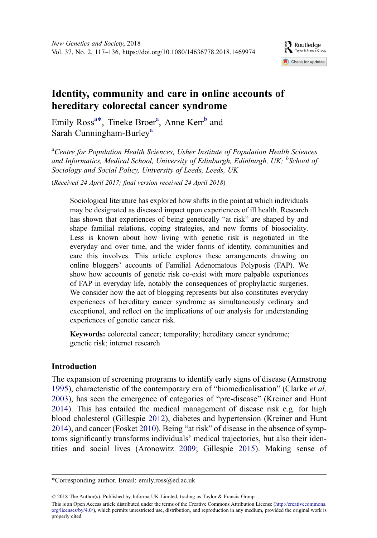

# <span id="page-1-0"></span>Identity, community and care in online accounts of hereditary colorectal cancer syndrome

Emily Ross<sup>a\*</sup>, Tineke Broer<sup>a</sup>, Anne Kerr<sup>b</sup> and Sarah Cunningham-Burley<sup>a</sup>

<sup>a</sup>Centre for Population Health Sciences, Usher Institute of Population Health Sciences and Informatics, Medical School, University of Edinburgh, Edinburgh, UK; <sup>b</sup>School of Sociology and Social Policy, University of Leeds, Leeds, UK

(Received 24 April 2017; final version received 24 April 2018)

Sociological literature has explored how shifts in the point at which individuals may be designated as diseased impact upon experiences of ill health. Research has shown that experiences of being genetically "at risk" are shaped by and shape familial relations, coping strategies, and new forms of biosociality. Less is known about how living with genetic risk is negotiated in the everyday and over time, and the wider forms of identity, communities and care this involves. This article explores these arrangements drawing on online bloggers' accounts of Familial Adenomatous Polyposis (FAP). We show how accounts of genetic risk co-exist with more palpable experiences of FAP in everyday life, notably the consequences of prophylactic surgeries. We consider how the act of blogging represents but also constitutes everyday experiences of hereditary cancer syndrome as simultaneously ordinary and exceptional, and reflect on the implications of our analysis for understanding experiences of genetic cancer risk.

Keywords: colorectal cancer; temporality; hereditary cancer syndrome; genetic risk; internet research

# Introduction

The expansion of screening programs to identify early signs of disease (Armstrong [1995\)](#page-17-0), characteristic of the contemporary era of "biomedicalisation" (Clarke et al. [2003\)](#page-18-0), has seen the emergence of categories of "pre-disease" (Kreiner and Hunt [2014\)](#page-19-0). This has entailed the medical management of disease risk e.g. for high blood cholesterol (Gillespie [2012](#page-18-0)), diabetes and hypertension (Kreiner and Hunt [2014\)](#page-19-0), and cancer (Fosket [2010](#page-18-0)). Being "at risk" of disease in the absence of symptoms significantly transforms individuals' medical trajectories, but also their identities and social lives (Aronowitz [2009](#page-17-0); Gillespie [2015](#page-18-0)). Making sense of

© 2018 The Author(s). Published by Informa UK Limited, trading as Taylor & Francis Group

This is an Open Access article distributed under the terms of the Creative Commons Attribution License [\(http://creativecommons.](http://creativecommons.org/licenses/by/4.0/) [org/licenses/by/4.0/](http://creativecommons.org/licenses/by/4.0/)), which permits unrestricted use, distribution, and reproduction in any medium, provided the original work is properly cited.

<sup>\*</sup>Corresponding author. Email: [emily.ross@ed.ac.uk](mailto:emily.ross@ed.ac.uk)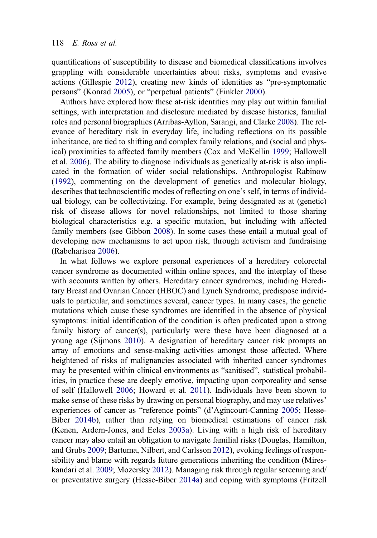<span id="page-2-0"></span>quantifications of susceptibility to disease and biomedical classifications involves grappling with considerable uncertainties about risks, symptoms and evasive actions (Gillespie [2012](#page-18-0)), creating new kinds of identities as "pre-symptomatic persons" (Konrad [2005\)](#page-19-0), or "perpetual patients" (Finkler [2000](#page-18-0)).

Authors have explored how these at-risk identities may play out within familial settings, with interpretation and disclosure mediated by disease histories, familial roles and personal biographies (Arribas-Ayllon, Sarangi, and Clarke [2008\)](#page-17-0). The relevance of hereditary risk in everyday life, including reflections on its possible inheritance, are tied to shifting and complex family relations, and (social and physical) proximities to affected family members (Cox and McKellin [1999](#page-18-0); Hallowell et al. [2006\)](#page-18-0). The ability to diagnose individuals as genetically at-risk is also implicated in the formation of wider social relationships. Anthropologist Rabinow [\(1992](#page-20-0)), commenting on the development of genetics and molecular biology, describes that technoscientific modes of reflecting on one's self, in terms of individual biology, can be collectivizing. For example, being designated as at (genetic) risk of disease allows for novel relationships, not limited to those sharing biological characteristics e.g. a specific mutation, but including with affected family members (see Gibbon [2008](#page-18-0)). In some cases these entail a mutual goal of developing new mechanisms to act upon risk, through activism and fundraising (Rabeharisoa [2006](#page-20-0)).

In what follows we explore personal experiences of a hereditary colorectal cancer syndrome as documented within online spaces, and the interplay of these with accounts written by others. Hereditary cancer syndromes, including Hereditary Breast and Ovarian Cancer (HBOC) and Lynch Syndrome, predispose individuals to particular, and sometimes several, cancer types. In many cases, the genetic mutations which cause these syndromes are identified in the absence of physical symptoms: initial identification of the condition is often predicated upon a strong family history of cancer(s), particularly were these have been diagnosed at a young age (Sijmons [2010\)](#page-20-0). A designation of hereditary cancer risk prompts an array of emotions and sense-making activities amongst those affected. Where heightened of risks of malignancies associated with inherited cancer syndromes may be presented within clinical environments as "sanitised", statistical probabilities, in practice these are deeply emotive, impacting upon corporeality and sense of self (Hallowell [2006](#page-18-0); Howard et al. [2011\)](#page-19-0). Individuals have been shown to make sense of these risks by drawing on personal biography, and may use relatives' experiences of cancer as "reference points" (d'Agincourt-Canning [2005;](#page-18-0) Hesse-Biber [2014b\)](#page-19-0), rather than relying on biomedical estimations of cancer risk (Kenen, Ardern-Jones, and Eeles [2003a\)](#page-19-0). Living with a high risk of hereditary cancer may also entail an obligation to navigate familial risks (Douglas, Hamilton, and Grubs [2009;](#page-18-0) Bartuma, Nilbert, and Carlsson [2012\)](#page-18-0), evoking feelings of responsibility and blame with regards future generations inheriting the condition (Mireskandari et al. [2009;](#page-19-0) Mozersky [2012](#page-19-0)). Managing risk through regular screening and/ or preventative surgery (Hesse-Biber [2014a](#page-19-0)) and coping with symptoms (Fritzell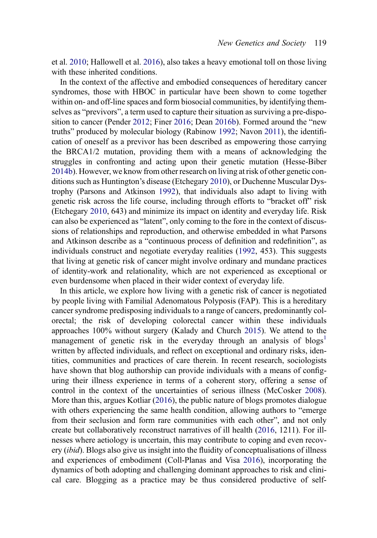<span id="page-3-0"></span>et al. [2010](#page-18-0); Hallowell et al. [2016\)](#page-18-0), also takes a heavy emotional toll on those living with these inherited conditions.

In the context of the affective and embodied consequences of hereditary cancer syndromes, those with HBOC in particular have been shown to come together within on- and off-line spaces and form biosocial communities, by identifying themselves as "previvors", a term used to capture their situation as surviving a pre-disposition to cancer (Pender [2012;](#page-20-0) Finer [2016;](#page-18-0) Dean [2016b\)](#page-18-0). Formed around the "new truths" produced by molecular biology (Rabinow [1992](#page-20-0); Navon [2011\)](#page-19-0), the identification of oneself as a previvor has been described as empowering those carrying the BRCA1/2 mutation, providing them with a means of acknowledging the struggles in confronting and acting upon their genetic mutation (Hesse-Biber [2014b](#page-19-0)). However, we know from other research on living at risk of other genetic conditions such as Huntington's disease (Etchegary [2010](#page-18-0)), or Duchenne Muscular Dystrophy (Parsons and Atkinson [1992\)](#page-19-0), that individuals also adapt to living with genetic risk across the life course, including through efforts to "bracket off" risk (Etchegary [2010](#page-18-0), 643) and minimize its impact on identity and everyday life. Risk can also be experienced as "latent", only coming to the fore in the context of discussions of relationships and reproduction, and otherwise embedded in what Parsons and Atkinson describe as a "continuous process of definition and redefinition", as individuals construct and negotiate everyday realities [\(1992](#page-19-0), 453). This suggests that living at genetic risk of cancer might involve ordinary and mundane practices of identity-work and relationality, which are not experienced as exceptional or even burdensome when placed in their wider context of everyday life.

In this article, we explore how living with a genetic risk of cancer is negotiated by people living with Familial Adenomatous Polyposis (FAP). This is a hereditary cancer syndrome predisposing individuals to a range of cancers, predominantly colorectal; the risk of developing colorectal cancer within these individuals approaches 100% without surgery (Kalady and Church [2015](#page-19-0)). We attend to the management of genetic risk in the everyday through an analysis of blogs<sup>[1](#page-17-0)</sup> written by affected individuals, and reflect on exceptional and ordinary risks, identities, communities and practices of care therein. In recent research, sociologists have shown that blog authorship can provide individuals with a means of configuring their illness experience in terms of a coherent story, offering a sense of control in the context of the uncertainties of serious illness (McCosker [2008](#page-19-0)). More than this, argues Kotliar [\(2016](#page-19-0)), the public nature of blogs promotes dialogue with others experiencing the same health condition, allowing authors to "emerge from their seclusion and form rare communities with each other", and not only create but collaboratively reconstruct narratives of ill health [\(2016](#page-19-0), 1211). For illnesses where aetiology is uncertain, this may contribute to coping and even recovery *(ibid)*. Blogs also give us insight into the fluidity of conceptualisations of illness and experiences of embodiment (Coll-Planas and Visa [2016](#page-18-0)), incorporating the dynamics of both adopting and challenging dominant approaches to risk and clinical care. Blogging as a practice may be thus considered productive of self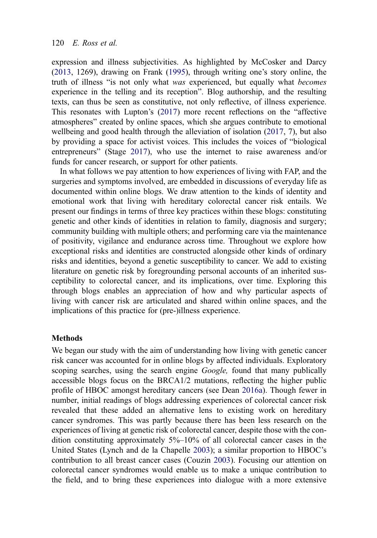<span id="page-4-0"></span>expression and illness subjectivities. As highlighted by McCosker and Darcy [\(2013](#page-19-0), 1269), drawing on Frank ([1995\)](#page-18-0), through writing one's story online, the truth of illness "is not only what was experienced, but equally what becomes experience in the telling and its reception". Blog authorship, and the resulting texts, can thus be seen as constitutive, not only reflective, of illness experience. This resonates with Lupton's ([2017\)](#page-19-0) more recent reflections on the "affective atmospheres" created by online spaces, which she argues contribute to emotional wellbeing and good health through the alleviation of isolation [\(2017](#page-19-0), 7), but also by providing a space for activist voices. This includes the voices of "biological entrepreneurs" (Stage [2017\)](#page-20-0), who use the internet to raise awareness and/or funds for cancer research, or support for other patients.

In what follows we pay attention to how experiences of living with FAP, and the surgeries and symptoms involved, are embedded in discussions of everyday life as documented within online blogs. We draw attention to the kinds of identity and emotional work that living with hereditary colorectal cancer risk entails. We present our findings in terms of three key practices within these blogs: constituting genetic and other kinds of identities in relation to family, diagnosis and surgery; community building with multiple others; and performing care via the maintenance of positivity, vigilance and endurance across time. Throughout we explore how exceptional risks and identities are constructed alongside other kinds of ordinary risks and identities, beyond a genetic susceptibility to cancer. We add to existing literature on genetic risk by foregrounding personal accounts of an inherited susceptibility to colorectal cancer, and its implications, over time. Exploring this through blogs enables an appreciation of how and why particular aspects of living with cancer risk are articulated and shared within online spaces, and the implications of this practice for (pre-)illness experience.

# Methods

We began our study with the aim of understanding how living with genetic cancer risk cancer was accounted for in online blogs by affected individuals. Exploratory scoping searches, using the search engine *Google*, found that many publically accessible blogs focus on the BRCA1/2 mutations, reflecting the higher public profile of HBOC amongst hereditary cancers (see Dean [2016a\)](#page-18-0). Though fewer in number, initial readings of blogs addressing experiences of colorectal cancer risk revealed that these added an alternative lens to existing work on hereditary cancer syndromes. This was partly because there has been less research on the experiences of living at genetic risk of colorectal cancer, despite those with the condition constituting approximately 5%–10% of all colorectal cancer cases in the United States (Lynch and de la Chapelle [2003](#page-19-0)); a similar proportion to HBOC's contribution to all breast cancer cases (Couzin [2003\)](#page-18-0). Focusing our attention on colorectal cancer syndromes would enable us to make a unique contribution to the field, and to bring these experiences into dialogue with a more extensive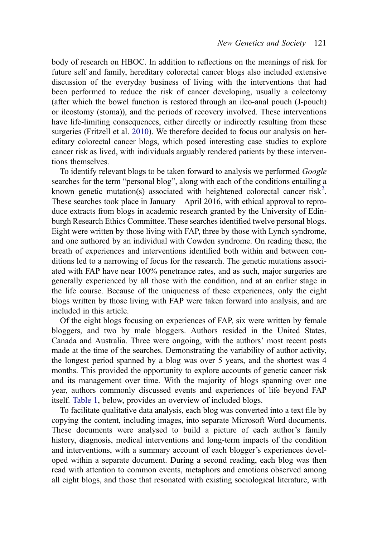body of research on HBOC. In addition to reflections on the meanings of risk for future self and family, hereditary colorectal cancer blogs also included extensive discussion of the everyday business of living with the interventions that had been performed to reduce the risk of cancer developing, usually a colectomy (after which the bowel function is restored through an ileo-anal pouch (J-pouch) or ileostomy (stoma)), and the periods of recovery involved. These interventions have life-limiting consequences, either directly or indirectly resulting from these surgeries (Fritzell et al. [2010\)](#page-18-0). We therefore decided to focus our analysis on hereditary colorectal cancer blogs, which posed interesting case studies to explore cancer risk as lived, with individuals arguably rendered patients by these interventions themselves.

To identify relevant blogs to be taken forward to analysis we performed *Google* searches for the term "personal blog", along with each of the conditions entailing a known genetic mutation(s) associated with heightened colorectal cancer  $risk^2$  $risk^2$ . These searches took place in January – April 2016, with ethical approval to reproduce extracts from blogs in academic research granted by the University of Edinburgh Research Ethics Committee. These searches identified twelve personal blogs. Eight were written by those living with FAP, three by those with Lynch syndrome, and one authored by an individual with Cowden syndrome. On reading these, the breath of experiences and interventions identified both within and between conditions led to a narrowing of focus for the research. The genetic mutations associated with FAP have near 100% penetrance rates, and as such, major surgeries are generally experienced by all those with the condition, and at an earlier stage in the life course. Because of the uniqueness of these experiences, only the eight blogs written by those living with FAP were taken forward into analysis, and are included in this article.

Of the eight blogs focusing on experiences of FAP, six were written by female bloggers, and two by male bloggers. Authors resided in the United States, Canada and Australia. Three were ongoing, with the authors' most recent posts made at the time of the searches. Demonstrating the variability of author activity, the longest period spanned by a blog was over 5 years, and the shortest was 4 months. This provided the opportunity to explore accounts of genetic cancer risk and its management over time. With the majority of blogs spanning over one year, authors commonly discussed events and experiences of life beyond FAP itself. [Table 1](#page-6-0), below, provides an overview of included blogs.

To facilitate qualitative data analysis, each blog was converted into a text file by copying the content, including images, into separate Microsoft Word documents. These documents were analysed to build a picture of each author's family history, diagnosis, medical interventions and long-term impacts of the condition and interventions, with a summary account of each blogger's experiences developed within a separate document. During a second reading, each blog was then read with attention to common events, metaphors and emotions observed among all eight blogs, and those that resonated with existing sociological literature, with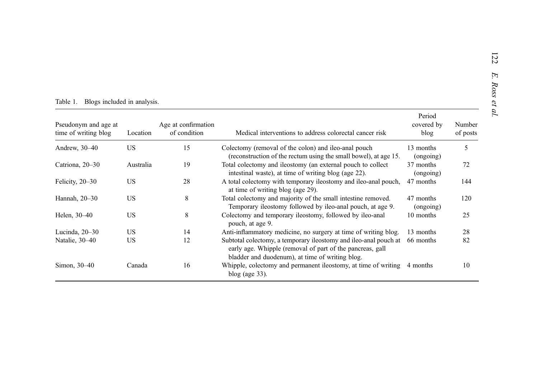#### <span id="page-6-0"></span>Table 1. Blogs included in analysis.

| Pseudonym and age at<br>time of writing blog | Location  | Age at confirmation<br>of condition | Medical interventions to address colorectal cancer risk                                                                                                                          | Period<br>covered by<br>blog | Number<br>of posts |
|----------------------------------------------|-----------|-------------------------------------|----------------------------------------------------------------------------------------------------------------------------------------------------------------------------------|------------------------------|--------------------|
| Andrew, 30-40                                | <b>US</b> | 15                                  | Colectomy (removal of the colon) and ileo-anal pouch<br>(reconstruction of the rectum using the small bowel), at age 15.                                                         | 13 months<br>(ongoing)       | 5                  |
| Catriona, 20–30                              | Australia | 19                                  | Total colectomy and ileostomy (an external pouch to collect<br>intestinal waste), at time of writing blog (age 22).                                                              | 37 months<br>(ongoing)       | 72                 |
| Felicity, $20-30$                            | US        | 28                                  | A total colectomy with temporary ileostomy and ileo-anal pouch,<br>at time of writing blog (age 29).                                                                             | 47 months                    | 144                |
| Hannah, $20-30$                              | US        | 8                                   | Total colectomy and majority of the small intestine removed.<br>Temporary ileostomy followed by ileo-anal pouch, at age 9.                                                       | 47 months<br>(ongoing)       | 120                |
| Helen, 30–40                                 | <b>US</b> | 8                                   | Colectomy and temporary ileostomy, followed by ileo-anal<br>pouch, at age 9.                                                                                                     | 10 months                    | 25                 |
| Lucinda, $20-30$                             | US        | 14                                  | Anti-inflammatory medicine, no surgery at time of writing blog.                                                                                                                  | 13 months                    | 28                 |
| Natalie, 30–40                               | US        | 12                                  | Subtotal colectomy, a temporary ileostomy and ileo-anal pouch at<br>early age. Whipple (removal of part of the pancreas, gall<br>bladder and duodenum), at time of writing blog. | 66 months                    | 82                 |
| Simon, 30–40                                 | Canada    | 16                                  | Whipple, colectomy and permanent ileostomy, at time of writing<br>blog (age $33$ ).                                                                                              | 4 months                     | 10                 |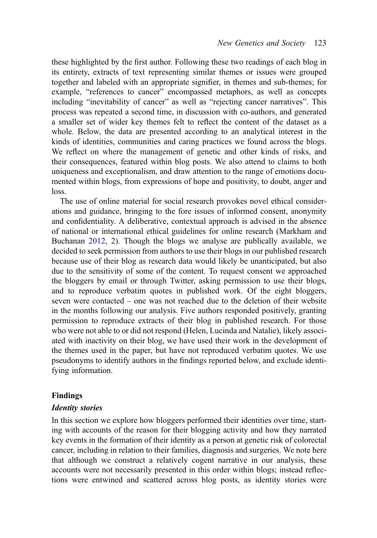<span id="page-7-0"></span>these highlighted by the first author. Following these two readings of each blog in its entirety, extracts of text representing similar themes or issues were grouped together and labeled with an appropriate signifier, in themes and sub-themes; for example, "references to cancer" encompassed metaphors, as well as concepts including "inevitability of cancer" as well as "rejecting cancer narratives". This process was repeated a second time, in discussion with co-authors, and generated a smaller set of wider key themes felt to reflect the content of the dataset as a whole. Below, the data are presented according to an analytical interest in the kinds of identities, communities and caring practices we found across the blogs. We reflect on where the management of genetic and other kinds of risks, and their consequences, featured within blog posts. We also attend to claims to both uniqueness and exceptionalism, and draw attention to the range of emotions documented within blogs, from expressions of hope and positivity, to doubt, anger and loss.

The use of online material for social research provokes novel ethical considerations and guidance, bringing to the fore issues of informed consent, anonymity and confidentiality. A deliberative, contextual approach is advised in the absence of national or international ethical guidelines for online research (Markham and Buchanan [2012,](#page-19-0) 2). Though the blogs we analyse are publically available, we decided to seek permission from authors to use their blogs in our published research because use of their blog as research data would likely be unanticipated, but also due to the sensitivity of some of the content. To request consent we approached the bloggers by email or through Twitter, asking permission to use their blogs, and to reproduce verbatim quotes in published work. Of the eight bloggers, seven were contacted – one was not reached due to the deletion of their website in the months following our analysis. Five authors responded positively, granting permission to reproduce extracts of their blog in published research. For those who were not able to or did not respond (Helen, Lucinda and Natalie), likely associated with inactivity on their blog, we have used their work in the development of the themes used in the paper, but have not reproduced verbatim quotes. We use pseudonyms to identify authors in the findings reported below, and exclude identifying information.

#### Findings

#### Identity stories

In this section we explore how bloggers performed their identities over time, starting with accounts of the reason for their blogging activity and how they narrated key events in the formation of their identity as a person at genetic risk of colorectal cancer, including in relation to their families, diagnosis and surgeries. We note here that although we construct a relatively cogent narrative in our analysis, these accounts were not necessarily presented in this order within blogs; instead reflections were entwined and scattered across blog posts, as identity stories were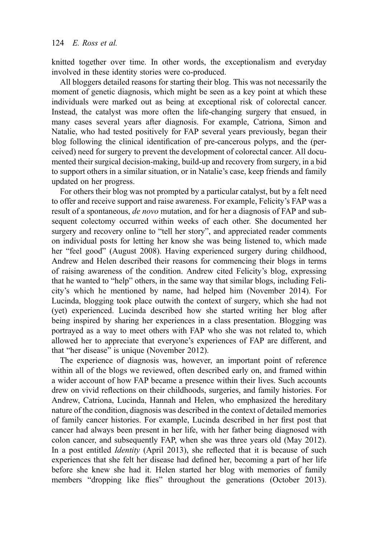knitted together over time. In other words, the exceptionalism and everyday involved in these identity stories were co-produced.

All bloggers detailed reasons for starting their blog. This was not necessarily the moment of genetic diagnosis, which might be seen as a key point at which these individuals were marked out as being at exceptional risk of colorectal cancer. Instead, the catalyst was more often the life-changing surgery that ensued, in many cases several years after diagnosis. For example, Catriona, Simon and Natalie, who had tested positively for FAP several years previously, began their blog following the clinical identification of pre-cancerous polyps, and the (perceived) need for surgery to prevent the development of colorectal cancer. All documented their surgical decision-making, build-up and recovery from surgery, in a bid to support others in a similar situation, or in Natalie's case, keep friends and family updated on her progress.

For others their blog was not prompted by a particular catalyst, but by a felt need to offer and receive support and raise awareness. For example, Felicity's FAP was a result of a spontaneous, de novo mutation, and for her a diagnosis of FAP and subsequent colectomy occurred within weeks of each other. She documented her surgery and recovery online to "tell her story", and appreciated reader comments on individual posts for letting her know she was being listened to, which made her "feel good" (August 2008). Having experienced surgery during childhood, Andrew and Helen described their reasons for commencing their blogs in terms of raising awareness of the condition. Andrew cited Felicity's blog, expressing that he wanted to "help" others, in the same way that similar blogs, including Felicity's which he mentioned by name, had helped him (November 2014). For Lucinda, blogging took place outwith the context of surgery, which she had not (yet) experienced. Lucinda described how she started writing her blog after being inspired by sharing her experiences in a class presentation. Blogging was portrayed as a way to meet others with FAP who she was not related to, which allowed her to appreciate that everyone's experiences of FAP are different, and that "her disease" is unique (November 2012).

The experience of diagnosis was, however, an important point of reference within all of the blogs we reviewed, often described early on, and framed within a wider account of how FAP became a presence within their lives. Such accounts drew on vivid reflections on their childhoods, surgeries, and family histories. For Andrew, Catriona, Lucinda, Hannah and Helen, who emphasized the hereditary nature of the condition, diagnosis was described in the context of detailed memories of family cancer histories. For example, Lucinda described in her first post that cancer had always been present in her life, with her father being diagnosed with colon cancer, and subsequently FAP, when she was three years old (May 2012). In a post entitled *Identity* (April 2013), she reflected that it is because of such experiences that she felt her disease had defined her, becoming a part of her life before she knew she had it. Helen started her blog with memories of family members "dropping like flies" throughout the generations (October 2013).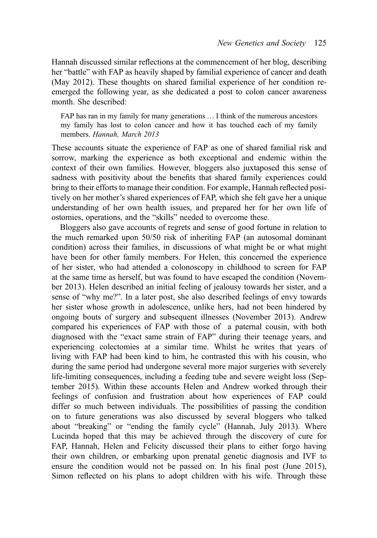Hannah discussed similar reflections at the commencement of her blog, describing her "battle" with FAP as heavily shaped by familial experience of cancer and death (May 2012). These thoughts on shared familial experience of her condition reemerged the following year, as she dedicated a post to colon cancer awareness month. She described:

FAP has ran in my family for many generations … I think of the numerous ancestors my family has lost to colon cancer and how it has touched each of my family members. Hannah, March 2013

These accounts situate the experience of FAP as one of shared familial risk and sorrow, marking the experience as both exceptional and endemic within the context of their own families. However, bloggers also juxtaposed this sense of sadness with positivity about the benefits that shared family experiences could bring to their efforts to manage their condition. For example, Hannah reflected positively on her mother's shared experiences of FAP, which she felt gave her a unique understanding of her own health issues, and prepared her for her own life of ostomies, operations, and the "skills" needed to overcome these.

Bloggers also gave accounts of regrets and sense of good fortune in relation to the much remarked upon 50/50 risk of inheriting FAP (an autosomal dominant condition) across their families, in discussions of what might be or what might have been for other family members. For Helen, this concerned the experience of her sister, who had attended a colonoscopy in childhood to screen for FAP at the same time as herself, but was found to have escaped the condition (November 2013). Helen described an initial feeling of jealousy towards her sister, and a sense of "why me?". In a later post, she also described feelings of envy towards her sister whose growth in adolescence, unlike hers, had not been hindered by ongoing bouts of surgery and subsequent illnesses (November 2013). Andrew compared his experiences of FAP with those of a paternal cousin, with both diagnosed with the "exact same strain of FAP" during their teenage years, and experiencing colectomies at a similar time. Whilst he writes that years of living with FAP had been kind to him, he contrasted this with his cousin, who during the same period had undergone several more major surgeries with severely life-limiting consequences, including a feeding tube and severe weight loss (September 2015). Within these accounts Helen and Andrew worked through their feelings of confusion and frustration about how experiences of FAP could differ so much between individuals. The possibilities of passing the condition on to future generations was also discussed by several bloggers who talked about "breaking" or "ending the family cycle" (Hannah, July 2013). Where Lucinda hoped that this may be achieved through the discovery of cure for FAP, Hannah, Helen and Felicity discussed their plans to either forgo having their own children, or embarking upon prenatal genetic diagnosis and IVF to ensure the condition would not be passed on. In his final post (June 2015), Simon reflected on his plans to adopt children with his wife. Through these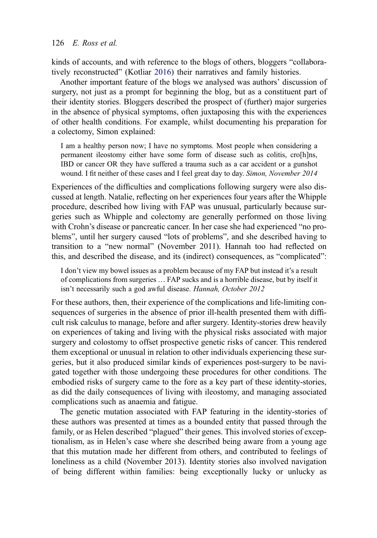kinds of accounts, and with reference to the blogs of others, bloggers "collaboratively reconstructed" (Kotliar [2016](#page-19-0)) their narratives and family histories.

Another important feature of the blogs we analysed was authors' discussion of surgery, not just as a prompt for beginning the blog, but as a constituent part of their identity stories. Bloggers described the prospect of (further) major surgeries in the absence of physical symptoms, often juxtaposing this with the experiences of other health conditions. For example, whilst documenting his preparation for a colectomy, Simon explained:

I am a healthy person now; I have no symptoms. Most people when considering a permanent ileostomy either have some form of disease such as colitis, crofhlns, IBD or cancer OR they have suffered a trauma such as a car accident or a gunshot wound. I fit neither of these cases and I feel great day to day. Simon, November 2014

Experiences of the difficulties and complications following surgery were also discussed at length. Natalie, reflecting on her experiences four years after the Whipple procedure, described how living with FAP was unusual, particularly because surgeries such as Whipple and colectomy are generally performed on those living with Crohn's disease or pancreatic cancer. In her case she had experienced "no problems", until her surgery caused "lots of problems", and she described having to transition to a "new normal" (November 2011). Hannah too had reflected on this, and described the disease, and its (indirect) consequences, as "complicated":

I don't view my bowel issues as a problem because of my FAP but instead it's a result of complications from surgeries … FAP sucks and is a horrible disease, but by itself it isn't necessarily such a god awful disease. Hannah, October 2012

For these authors, then, their experience of the complications and life-limiting consequences of surgeries in the absence of prior ill-health presented them with difficult risk calculus to manage, before and after surgery. Identity-stories drew heavily on experiences of taking and living with the physical risks associated with major surgery and colostomy to offset prospective genetic risks of cancer. This rendered them exceptional or unusual in relation to other individuals experiencing these surgeries, but it also produced similar kinds of experiences post-surgery to be navigated together with those undergoing these procedures for other conditions. The embodied risks of surgery came to the fore as a key part of these identity-stories, as did the daily consequences of living with ileostomy, and managing associated complications such as anaemia and fatigue.

The genetic mutation associated with FAP featuring in the identity-stories of these authors was presented at times as a bounded entity that passed through the family, or as Helen described "plagued" their genes. This involved stories of exceptionalism, as in Helen's case where she described being aware from a young age that this mutation made her different from others, and contributed to feelings of loneliness as a child (November 2013). Identity stories also involved navigation of being different within families: being exceptionally lucky or unlucky as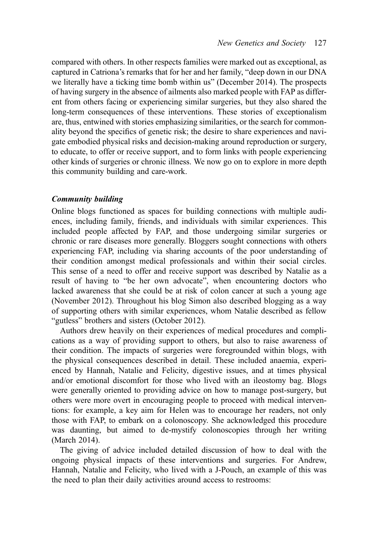compared with others. In other respects families were marked out as exceptional, as captured in Catriona's remarks that for her and her family, "deep down in our DNA we literally have a ticking time bomb within us" (December 2014). The prospects of having surgery in the absence of ailments also marked people with FAP as different from others facing or experiencing similar surgeries, but they also shared the long-term consequences of these interventions. These stories of exceptionalism are, thus, entwined with stories emphasizing similarities, or the search for commonality beyond the specifics of genetic risk; the desire to share experiences and navigate embodied physical risks and decision-making around reproduction or surgery, to educate, to offer or receive support, and to form links with people experiencing other kinds of surgeries or chronic illness. We now go on to explore in more depth this community building and care-work.

# Community building

Online blogs functioned as spaces for building connections with multiple audiences, including family, friends, and individuals with similar experiences. This included people affected by FAP, and those undergoing similar surgeries or chronic or rare diseases more generally. Bloggers sought connections with others experiencing FAP, including via sharing accounts of the poor understanding of their condition amongst medical professionals and within their social circles. This sense of a need to offer and receive support was described by Natalie as a result of having to "be her own advocate", when encountering doctors who lacked awareness that she could be at risk of colon cancer at such a young age (November 2012). Throughout his blog Simon also described blogging as a way of supporting others with similar experiences, whom Natalie described as fellow "gutless" brothers and sisters (October 2012).

Authors drew heavily on their experiences of medical procedures and complications as a way of providing support to others, but also to raise awareness of their condition. The impacts of surgeries were foregrounded within blogs, with the physical consequences described in detail. These included anaemia, experienced by Hannah, Natalie and Felicity, digestive issues, and at times physical and/or emotional discomfort for those who lived with an ileostomy bag. Blogs were generally oriented to providing advice on how to manage post-surgery, but others were more overt in encouraging people to proceed with medical interventions: for example, a key aim for Helen was to encourage her readers, not only those with FAP, to embark on a colonoscopy. She acknowledged this procedure was daunting, but aimed to de-mystify colonoscopies through her writing (March 2014).

The giving of advice included detailed discussion of how to deal with the ongoing physical impacts of these interventions and surgeries. For Andrew, Hannah, Natalie and Felicity, who lived with a J-Pouch, an example of this was the need to plan their daily activities around access to restrooms: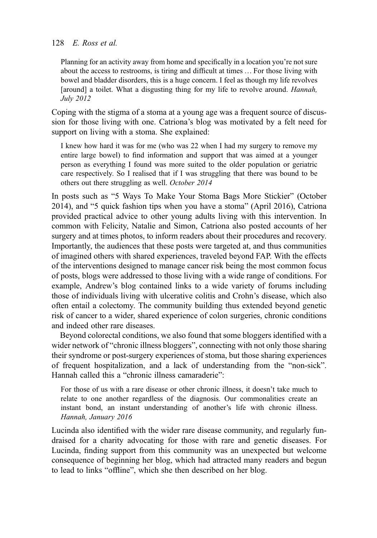## 128  $E$  Ross et al.

Planning for an activity away from home and specifically in a location you're not sure about the access to restrooms, is tiring and difficult at times … For those living with bowel and bladder disorders, this is a huge concern. I feel as though my life revolves [around] a toilet. What a disgusting thing for my life to revolve around. *Hannah*, July 2012

Coping with the stigma of a stoma at a young age was a frequent source of discussion for those living with one. Catriona's blog was motivated by a felt need for support on living with a stoma. She explained:

I knew how hard it was for me (who was 22 when I had my surgery to remove my entire large bowel) to find information and support that was aimed at a younger person as everything I found was more suited to the older population or geriatric care respectively. So I realised that if I was struggling that there was bound to be others out there struggling as well. October 2014

In posts such as "5 Ways To Make Your Stoma Bags More Stickier" (October 2014), and "5 quick fashion tips when you have a stoma" (April 2016), Catriona provided practical advice to other young adults living with this intervention. In common with Felicity, Natalie and Simon, Catriona also posted accounts of her surgery and at times photos, to inform readers about their procedures and recovery. Importantly, the audiences that these posts were targeted at, and thus communities of imagined others with shared experiences, traveled beyond FAP. With the effects of the interventions designed to manage cancer risk being the most common focus of posts, blogs were addressed to those living with a wide range of conditions. For example, Andrew's blog contained links to a wide variety of forums including those of individuals living with ulcerative colitis and Crohn's disease, which also often entail a colectomy. The community building thus extended beyond genetic risk of cancer to a wider, shared experience of colon surgeries, chronic conditions and indeed other rare diseases.

Beyond colorectal conditions, we also found that some bloggers identified with a wider network of "chronic illness bloggers", connecting with not only those sharing their syndrome or post-surgery experiences of stoma, but those sharing experiences of frequent hospitalization, and a lack of understanding from the "non-sick". Hannah called this a "chronic illness camaraderie":

For those of us with a rare disease or other chronic illness, it doesn't take much to relate to one another regardless of the diagnosis. Our commonalities create an instant bond, an instant understanding of another's life with chronic illness. Hannah, January 2016

Lucinda also identified with the wider rare disease community, and regularly fundraised for a charity advocating for those with rare and genetic diseases. For Lucinda, finding support from this community was an unexpected but welcome consequence of beginning her blog, which had attracted many readers and begun to lead to links "offline", which she then described on her blog.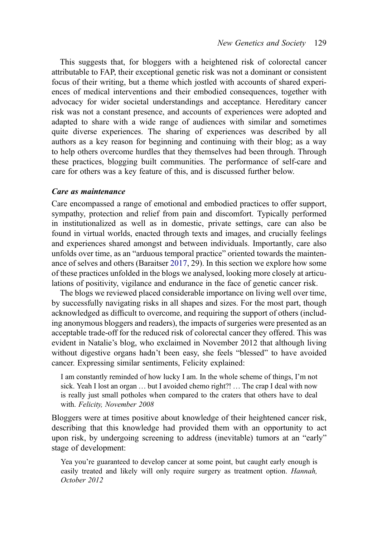<span id="page-13-0"></span>This suggests that, for bloggers with a heightened risk of colorectal cancer attributable to FAP, their exceptional genetic risk was not a dominant or consistent focus of their writing, but a theme which jostled with accounts of shared experiences of medical interventions and their embodied consequences, together with advocacy for wider societal understandings and acceptance. Hereditary cancer risk was not a constant presence, and accounts of experiences were adopted and adapted to share with a wide range of audiences with similar and sometimes quite diverse experiences. The sharing of experiences was described by all authors as a key reason for beginning and continuing with their blog; as a way to help others overcome hurdles that they themselves had been through. Through these practices, blogging built communities. The performance of self-care and care for others was a key feature of this, and is discussed further below.

#### Care as maintenance

Care encompassed a range of emotional and embodied practices to offer support, sympathy, protection and relief from pain and discomfort. Typically performed in institutionalized as well as in domestic, private settings, care can also be found in virtual worlds, enacted through texts and images, and crucially feelings and experiences shared amongst and between individuals. Importantly, care also unfolds over time, as an "arduous temporal practice" oriented towards the maintenance of selves and others (Baraitser [2017,](#page-18-0) 29). In this section we explore how some of these practices unfolded in the blogs we analysed, looking more closely at articulations of positivity, vigilance and endurance in the face of genetic cancer risk.

The blogs we reviewed placed considerable importance on living well over time, by successfully navigating risks in all shapes and sizes. For the most part, though acknowledged as difficult to overcome, and requiring the support of others (including anonymous bloggers and readers), the impacts of surgeries were presented as an acceptable trade-off for the reduced risk of colorectal cancer they offered. This was evident in Natalie's blog, who exclaimed in November 2012 that although living without digestive organs hadn't been easy, she feels "blessed" to have avoided cancer. Expressing similar sentiments, Felicity explained:

I am constantly reminded of how lucky I am. In the whole scheme of things, I'm not sick. Yeah I lost an organ … but I avoided chemo right?! … The crap I deal with now is really just small potholes when compared to the craters that others have to deal with. Felicity, November 2008

Bloggers were at times positive about knowledge of their heightened cancer risk, describing that this knowledge had provided them with an opportunity to act upon risk, by undergoing screening to address (inevitable) tumors at an "early" stage of development:

Yea you're guaranteed to develop cancer at some point, but caught early enough is easily treated and likely will only require surgery as treatment option. *Hannah*, October 2012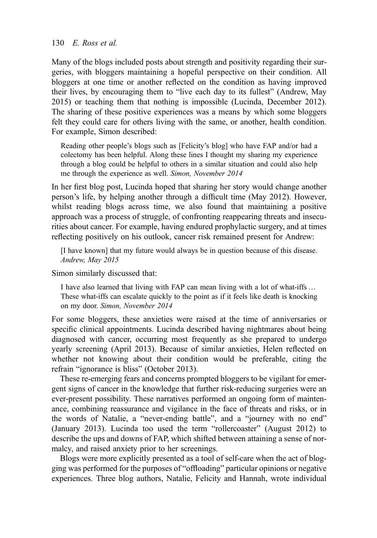## 130 E. Ross et al.

Many of the blogs included posts about strength and positivity regarding their surgeries, with bloggers maintaining a hopeful perspective on their condition. All bloggers at one time or another reflected on the condition as having improved their lives, by encouraging them to "live each day to its fullest" (Andrew, May 2015) or teaching them that nothing is impossible (Lucinda, December 2012). The sharing of these positive experiences was a means by which some bloggers felt they could care for others living with the same, or another, health condition. For example, Simon described:

Reading other people's blogs such as [Felicity's blog] who have FAP and/or had a colectomy has been helpful. Along these lines I thought my sharing my experience through a blog could be helpful to others in a similar situation and could also help me through the experience as well. Simon, November 2014

In her first blog post, Lucinda hoped that sharing her story would change another person's life, by helping another through a difficult time (May 2012). However, whilst reading blogs across time, we also found that maintaining a positive approach was a process of struggle, of confronting reappearing threats and insecurities about cancer. For example, having endured prophylactic surgery, and at times reflecting positively on his outlook, cancer risk remained present for Andrew:

[I have known] that my future would always be in question because of this disease. Andrew, May 2015

Simon similarly discussed that:

I have also learned that living with FAP can mean living with a lot of what-iffs … These what-iffs can escalate quickly to the point as if it feels like death is knocking on my door. Simon, November 2014

For some bloggers, these anxieties were raised at the time of anniversaries or specific clinical appointments. Lucinda described having nightmares about being diagnosed with cancer, occurring most frequently as she prepared to undergo yearly screening (April 2013). Because of similar anxieties, Helen reflected on whether not knowing about their condition would be preferable, citing the refrain "ignorance is bliss" (October 2013).

These re-emerging fears and concerns prompted bloggers to be vigilant for emergent signs of cancer in the knowledge that further risk-reducing surgeries were an ever-present possibility. These narratives performed an ongoing form of maintenance, combining reassurance and vigilance in the face of threats and risks, or in the words of Natalie, a "never-ending battle", and a "journey with no end" (January 2013). Lucinda too used the term "rollercoaster" (August 2012) to describe the ups and downs of FAP, which shifted between attaining a sense of normalcy, and raised anxiety prior to her screenings.

Blogs were more explicitly presented as a tool of self-care when the act of blogging was performed for the purposes of "offloading" particular opinions or negative experiences. Three blog authors, Natalie, Felicity and Hannah, wrote individual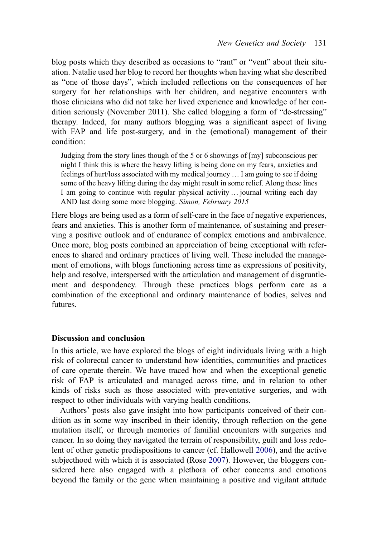<span id="page-15-0"></span>blog posts which they described as occasions to "rant" or "vent" about their situation. Natalie used her blog to record her thoughts when having what she described as "one of those days", which included reflections on the consequences of her surgery for her relationships with her children, and negative encounters with those clinicians who did not take her lived experience and knowledge of her condition seriously (November 2011). She called blogging a form of "de-stressing" therapy. Indeed, for many authors blogging was a significant aspect of living with FAP and life post-surgery, and in the (emotional) management of their condition:

Judging from the story lines though of the 5 or 6 showings of [my] subconscious per night I think this is where the heavy lifting is being done on my fears, anxieties and feelings of hurt/loss associated with my medical journey … I am going to see if doing some of the heavy lifting during the day might result in some relief. Along these lines I am going to continue with regular physical activity … journal writing each day AND last doing some more blogging. Simon, February 2015

Here blogs are being used as a form of self-care in the face of negative experiences, fears and anxieties. This is another form of maintenance, of sustaining and preserving a positive outlook and of endurance of complex emotions and ambivalence. Once more, blog posts combined an appreciation of being exceptional with references to shared and ordinary practices of living well. These included the management of emotions, with blogs functioning across time as expressions of positivity, help and resolve, interspersed with the articulation and management of disgruntlement and despondency. Through these practices blogs perform care as a combination of the exceptional and ordinary maintenance of bodies, selves and futures.

#### Discussion and conclusion

In this article, we have explored the blogs of eight individuals living with a high risk of colorectal cancer to understand how identities, communities and practices of care operate therein. We have traced how and when the exceptional genetic risk of FAP is articulated and managed across time, and in relation to other kinds of risks such as those associated with preventative surgeries, and with respect to other individuals with varying health conditions.

Authors' posts also gave insight into how participants conceived of their condition as in some way inscribed in their identity, through reflection on the gene mutation itself, or through memories of familial encounters with surgeries and cancer. In so doing they navigated the terrain of responsibility, guilt and loss redolent of other genetic predispositions to cancer (cf. Hallowell [2006\)](#page-18-0), and the active subjecthood with which it is associated (Rose [2007](#page-20-0)). However, the bloggers considered here also engaged with a plethora of other concerns and emotions beyond the family or the gene when maintaining a positive and vigilant attitude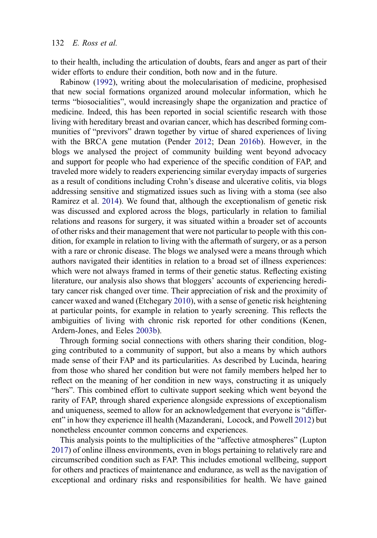<span id="page-16-0"></span>to their health, including the articulation of doubts, fears and anger as part of their wider efforts to endure their condition, both now and in the future.

Rabinow ([1992\)](#page-20-0), writing about the molecularisation of medicine, prophesised that new social formations organized around molecular information, which he terms "biosocialities", would increasingly shape the organization and practice of medicine. Indeed, this has been reported in social scientific research with those living with hereditary breast and ovarian cancer, which has described forming communities of "previvors" drawn together by virtue of shared experiences of living with the BRCA gene mutation (Pender [2012](#page-20-0); Dean [2016b](#page-18-0)). However, in the blogs we analysed the project of community building went beyond advocacy and support for people who had experience of the specific condition of FAP, and traveled more widely to readers experiencing similar everyday impacts of surgeries as a result of conditions including Crohn's disease and ulcerative colitis, via blogs addressing sensitive and stigmatized issues such as living with a stoma (see also Ramirez et al. [2014\)](#page-20-0). We found that, although the exceptionalism of genetic risk was discussed and explored across the blogs, particularly in relation to familial relations and reasons for surgery, it was situated within a broader set of accounts of other risks and their management that were not particular to people with this condition, for example in relation to living with the aftermath of surgery, or as a person with a rare or chronic disease. The blogs we analysed were a means through which authors navigated their identities in relation to a broad set of illness experiences: which were not always framed in terms of their genetic status. Reflecting existing literature, our analysis also shows that bloggers' accounts of experiencing hereditary cancer risk changed over time. Their appreciation of risk and the proximity of cancer waxed and waned (Etchegary [2010\)](#page-18-0), with a sense of genetic risk heightening at particular points, for example in relation to yearly screening. This reflects the ambiguities of living with chronic risk reported for other conditions (Kenen, Ardern-Jones, and Eeles [2003b\)](#page-19-0).

Through forming social connections with others sharing their condition, blogging contributed to a community of support, but also a means by which authors made sense of their FAP and its particularities. As described by Lucinda, hearing from those who shared her condition but were not family members helped her to reflect on the meaning of her condition in new ways, constructing it as uniquely "hers". This combined effort to cultivate support seeking which went beyond the rarity of FAP, through shared experience alongside expressions of exceptionalism and uniqueness, seemed to allow for an acknowledgement that everyone is "different" in how they experience ill health (Mazanderani, Locock, and Powell [2012\)](#page-19-0) but nonetheless encounter common concerns and experiences.

This analysis points to the multiplicities of the "affective atmospheres" (Lupton [2017\)](#page-19-0) of online illness environments, even in blogs pertaining to relatively rare and circumscribed condition such as FAP. This includes emotional wellbeing, support for others and practices of maintenance and endurance, as well as the navigation of exceptional and ordinary risks and responsibilities for health. We have gained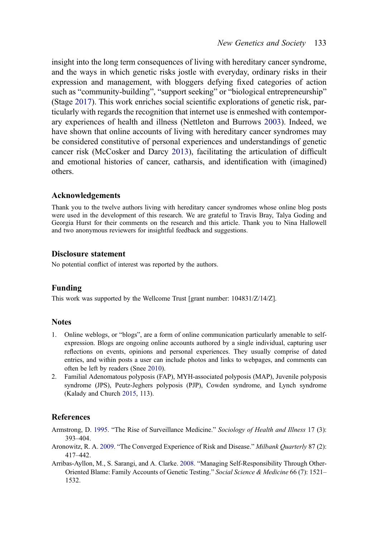<span id="page-17-0"></span>insight into the long term consequences of living with hereditary cancer syndrome, and the ways in which genetic risks jostle with everyday, ordinary risks in their expression and management, with bloggers defying fixed categories of action such as "community-building", "support seeking" or "biological entrepreneurship" (Stage [2017](#page-20-0)). This work enriches social scientific explorations of genetic risk, particularly with regards the recognition that internet use is enmeshed with contemporary experiences of health and illness (Nettleton and Burrows [2003\)](#page-19-0). Indeed, we have shown that online accounts of living with hereditary cancer syndromes may be considered constitutive of personal experiences and understandings of genetic cancer risk (McCosker and Darcy [2013\)](#page-19-0), facilitating the articulation of difficult and emotional histories of cancer, catharsis, and identification with (imagined) others.

### Acknowledgements

Thank you to the twelve authors living with hereditary cancer syndromes whose online blog posts were used in the development of this research. We are grateful to Travis Bray, Talya Goding and Georgia Hurst for their comments on the research and this article. Thank you to Nina Hallowell and two anonymous reviewers for insightful feedback and suggestions.

### Disclosure statement

No potential conflict of interest was reported by the authors.

# Funding

This work was supported by the Wellcome Trust [grant number: 104831/Z/14/Z].

#### **Notes**

- 1. Online weblogs, or "blogs", are a form of online communication particularly amenable to selfexpression. Blogs are ongoing online accounts authored by a single individual, capturing user reflections on events, opinions and personal experiences. They usually comprise of dated entries, and within posts a user can include photos and links to webpages, and comments can often be left by readers (Snee [2010\)](#page-20-0).
- 2. Familial Adenomatous polyposis (FAP), MYH-associated polyposis (MAP), Juvenile polyposis syndrome (JPS), Peutz-Jeghers polyposis (PJP), Cowden syndrome, and Lynch syndrome (Kalady and Church [2015](#page-19-0), 113).

#### References

- Armstrong, D. [1995.](#page-1-0) "The Rise of Surveillance Medicine." Sociology of Health and Illness 17 (3): 393–404.
- Aronowitz, R. A. [2009.](#page-1-0) "The Converged Experience of Risk and Disease." Milbank Quarterly 87 (2): 417–442.
- Arribas-Ayllon, M., S. Sarangi, and A. Clarke. [2008.](#page-2-0) "Managing Self-Responsibility Through Other-Oriented Blame: Family Accounts of Genetic Testing." Social Science & Medicine 66 (7): 1521– 1532.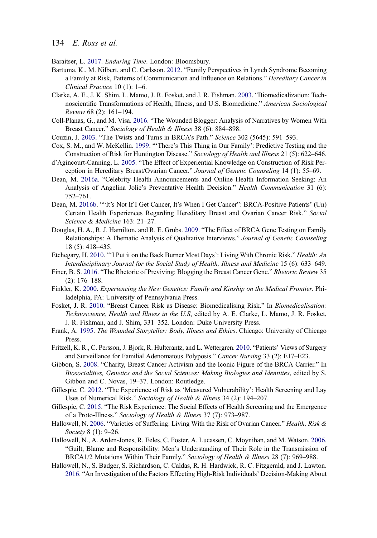<span id="page-18-0"></span>Baraitser, L. [2017](#page-13-0). Enduring Time. London: Bloomsbury.

- Bartuma, K., M. Nilbert, and C. Carlsson. [2012](#page-2-0). "Family Perspectives in Lynch Syndrome Becoming a Family at Risk, Patterns of Communication and Influence on Relations." Hereditary Cancer in Clinical Practice 10 (1): 1–6.
- Clarke, A. E., J. K. Shim, L. Mamo, J. R. Fosket, and J. R. Fishman. [2003](#page-1-0). "Biomedicalization: Technoscientific Transformations of Health, Illness, and U.S. Biomedicine." American Sociological Review 68 (2): 161–194.
- Coll-Planas, G., and M. Visa. [2016.](#page-3-0) "The Wounded Blogger: Analysis of Narratives by Women With Breast Cancer." Sociology of Health & Illness 38 (6): 884–898.
- Couzin, J. [2003.](#page-4-0) "The Twists and Turns in BRCA's Path." Science 302 (5645): 591–593.
- Cox, S. M., and W. McKellin. [1999](#page-2-0). "'There's This Thing in Our Family': Predictive Testing and the Construction of Risk for Huntington Disease." Sociology of Health and Illness 21 (5): 622–646.
- d'Agincourt-Canning, L. [2005](#page-2-0). "The Effect of Experiential Knowledge on Construction of Risk Perception in Hereditary Breast/Ovarian Cancer." Journal of Genetic Counseling 14 (1): 55–69.
- Dean, M. [2016a](#page-4-0). "Celebrity Health Announcements and Online Health Information Seeking: An Analysis of Angelina Jolie's Preventative Health Decision." Health Communication 31 (6): 752–761.
- Dean, M. [2016b](#page-3-0). ""It's Not If I Get Cancer, It's When I Get Cancer": BRCA-Positive Patients' (Un) Certain Health Experiences Regarding Hereditary Breast and Ovarian Cancer Risk." Social Science & Medicine 163: 21–27.
- Douglas, H. A., R. J. Hamilton, and R. E. Grubs. [2009](#page-2-0). "The Effect of BRCA Gene Testing on Family Relationships: A Thematic Analysis of Qualitative Interviews." Journal of Genetic Counseling 18 (5): 418–435.
- Etchegary, H. [2010.](#page-3-0) "'I Put it on the Back Burner Most Days': Living With Chronic Risk." Health: An Interdisciplinary Journal for the Social Study of Health, Illness and Medicine 15 (6): 633–649.
- Finer, B. S. [2016](#page-3-0). "The Rhetoric of Previving: Blogging the Breast Cancer Gene." Rhetoric Review 35 (2): 176–188.
- Finkler, K. [2000.](#page-2-0) Experiencing the New Genetics: Family and Kinship on the Medical Frontier. Philadelphia, PA: University of Pennsylvania Press.
- Fosket, J. R. [2010](#page-1-0). "Breast Cancer Risk as Disease: Biomedicalising Risk." In Biomedicalisation: Technoscience, Health and Illness in the U.S, edited by A. E. Clarke, L. Mamo, J. R. Fosket, J. R. Fishman, and J. Shim, 331–352. London: Duke University Press.
- Frank, A. [1995](#page-4-0). The Wounded Storyteller: Body, Illness and Ethics. Chicago: University of Chicago Press.
- Fritzell, K. R., C. Persson, J. Bjork, R. Hultcrantz, and L. Wettergren. [2010.](#page-2-0) "Patients' Views of Surgery and Surveillance for Familial Adenomatous Polyposis." Cancer Nursing 33 (2): E17–E23.
- Gibbon, S. [2008](#page-2-0). "Charity, Breast Cancer Activism and the Iconic Figure of the BRCA Carrier." In Biosocialities, Genetics and the Social Sciences: Making Biologies and Identities, edited by S. Gibbon and C. Novas, 19–37. London: Routledge.
- Gillespie, C. [2012.](#page-1-0) "The Experience of Risk as 'Measured Vulnerability': Health Screening and Lay Uses of Numerical Risk." Sociology of Health & Illness 34 (2): 194–207.
- Gillespie, C. [2015](#page-1-0). "The Risk Experience: The Social Effects of Health Screening and the Emergence of a Proto-Illness." Sociology of Health & Illness 37 (7): 973–987.
- Hallowell, N. [2006.](#page-2-0) "Varieties of Suffering: Living With the Risk of Ovarian Cancer." Health, Risk & Society 8 (1): 9-26.
- Hallowell, N., A. Arden-Jones, R. Eeles, C. Foster, A. Lucassen, C. Moynihan, and M. Watson. [2006](#page-2-0). "Guilt, Blame and Responsibility: Men's Understanding of Their Role in the Transmission of BRCA1/2 Mutations Within Their Family." Sociology of Health & Illness 28 (7): 969–988.
- Hallowell, N., S. Badger, S. Richardson, C. Caldas, R. H. Hardwick, R. C. Fitzgerald, and J. Lawton. [2016](#page-3-0). "An Investigation of the Factors Effecting High-Risk Individuals' Decision-Making About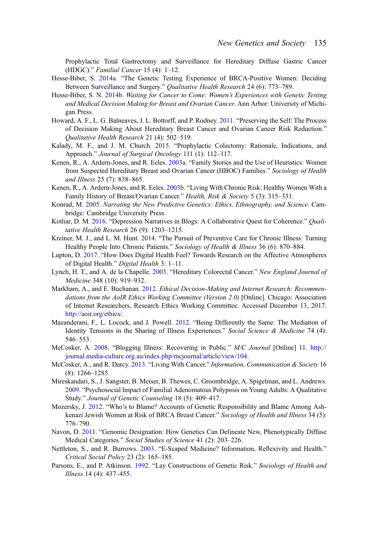<span id="page-19-0"></span>Prophylactic Total Gastrectomy and Surveillance for Hereditary Diffuse Gastric Cancer (HDGC)." Familial Cancer 15 (4): 1–12.

- Hesse-Biber, S. [2014a.](#page-2-0) "The Genetic Testing Experience of BRCA-Positive Women: Deciding Between Surveillance and Surgery." Qualitative Health Research 24 (6): 773–789.
- Hesse-Biber, S. N. [2014b.](#page-2-0) Waiting for Cancer to Come: Women's Experiences with Genetic Testing and Medical Decision Making for Breast and Ovarian Cancer. Ann Arbor: University of Michigan Press.
- Howard, A. F., L. G. Balneaves, J. L. Bottorff, and P. Rodney. [2011](#page-2-0). "Preserving the Self: The Process of Decision Making About Hereditary Breast Cancer and Ovarian Cancer Risk Reduction." Qualitative Health Research 21 (4): 502–519.
- Kalady, M. F., and J. M. Church. [2015](#page-3-0). "Prophylactic Colectomy: Rationale, Indications, and Approach." Journal of Surgical Oncology 111 (1): 112-117.
- Kenen, R., A. Ardern-Jones, and R. Eeles. [2003a.](#page-2-0) "Family Stories and the Use of Heuristics: Women from Suspected Hereditary Breast and Ovarian Cancer (HBOC) Families." Sociology of Health and Illness 25 (7): 838–865.
- Kenen, R., A. Ardern-Jones, and R. Eeles. [2003b](#page-16-0). "Living With Chronic Risk: Healthy Women With a Family History of Breast/Ovarian Cancer." Health, Risk & Society 5 (3): 315–331.
- Konrad, M. [2005](#page-2-0). Narrating the New Predictive Genetics: Ethics, Ethnography, and Science. Cambridge: Cambridge University Press.
- Kotliar, D. M. [2016](#page-3-0). "Depression Narratives in Blogs: A Collaborative Quest for Coherence." Qualitative Health Research 26 (9): 1203–1215.
- Kreiner, M. J., and L. M. Hunt. [2014.](#page-1-0) "The Pursuit of Preventive Care for Chronic Illness: Turning Healthy People Into Chronic Patients." Sociology of Health & Illness 36 (6): 870–884.
- Lupton, D. [2017](#page-4-0). "How Does Digital Health Feel? Towards Research on the Affective Atmospheres of Digital Health." Digital Health 3: 1–11.
- Lynch, H. T., and A. de la Chapelle. [2003.](#page-4-0) "Hereditary Colorectal Cancer." New England Journal of Medicine 348 (10): 919–932.
- Markham, A., and E. Buchanan. [2012.](#page-7-0) Ethical Decision-Making and Internet Research: Recommendations from the AoIR Ethics Working Committee (Version 2.0) [Online]. Chicago: Association of Internet Researchers, Research Ethics Working Committee. Accessed December 13, 2017. [http://aoir.org/ethics/.](http://aoir.org/ethics/)
- Mazanderani, F., L. Locock, and J. Powell. [2012.](#page-16-0) "Being Differently the Same: The Mediation of Identity Tensions in the Sharing of Illness Experiences." Social Science & Medicine 74 (4): 546–553.
- McCosker, A. [2008](#page-3-0). "Blogging Illness: Recovering in Public." M/C Journal [Online] 11. [http://](http://journal.media-culture.org.au/index.php/mcjournal/article/view/104) [journal.media-culture.org.au/index.php/mcjournal/article/view/104.](http://journal.media-culture.org.au/index.php/mcjournal/article/view/104)
- McCosker, A., and R. Darcy. [2013.](#page-4-0) "Living With Cancer." Information, Communication & Society 16 (8): 1266–1285.
- Mireskandari, S., J. Sangster, B. Meiser, B. Thewes, C. Groombridge, A. Spigelman, and L. Andrews. [2009](#page-2-0). "Psychosocial Impact of Familial Adenomatous Polyposis on Young Adults: A Qualitative Study." Journal of Genetic Counseling 18 (5): 409–417.
- Mozersky, J. [2012.](#page-2-0) "Who's to Blame? Accounts of Genetic Responsibility and Blame Among Ashkenazi Jewish Women at Risk of BRCA Breast Cancer." Sociology of Health and Illness 34 (5): 776–790.
- Navon, D. [2011](#page-3-0). "Genomic Designation: How Genetics Can Delineate New, Phenotypically Diffuse Medical Categories." Social Studies of Science 41 (2): 203–226.
- Nettleton, S., and R. Burrows. [2003.](#page-17-0) "E-Scaped Medicine? Information, Reflexivity and Health." Critical Social Policy 23 (2): 165–185.
- Parsons, E., and P. Atkinson. [1992](#page-3-0). "Lay Constructions of Genetic Risk." Sociology of Health and Illness 14 (4): 437–455.